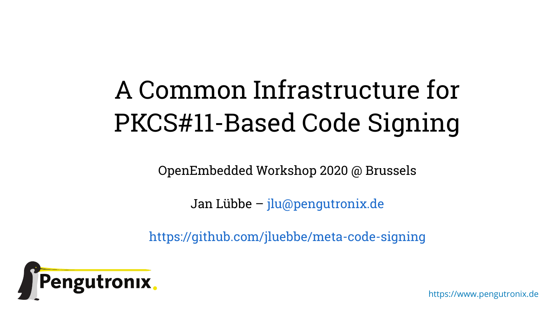# A Common Infrastructure for PKCS#11-Based Code Signing

OpenEmbedded Workshop 2020 @ Brussels

Jan Lübbe – [jlu@pengutronix.de](mailto:jlu@pengutronix.de)

<https://github.com/jluebbe/meta-code-signing>



https://www.pengutronix.de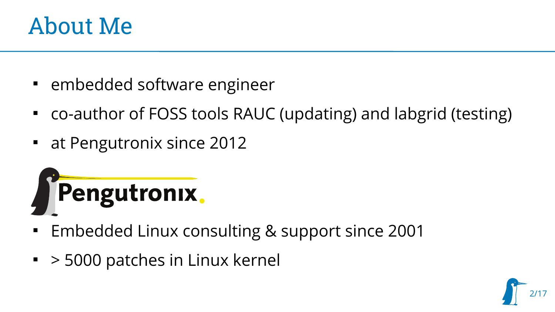#### About Me

- **EXEC** embedded software engineer
- co-author of FOSS tools RAUC (updating) and labgrid (testing)
- at Pengutronix since 2012



- Embedded Linux consulting & support since 2001
- > 5000 patches in Linux kernel

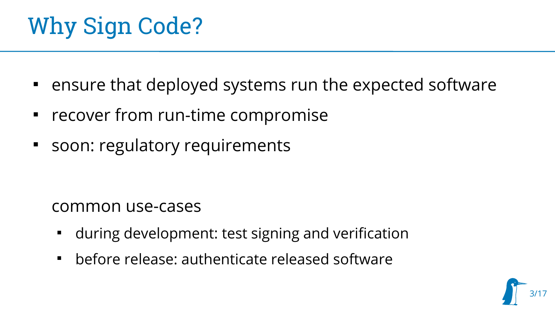# Why Sign Code?

- ensure that deployed systems run the expected software
- recover from run-time compromise
- **Soon: regulatory requirements**

#### common use-cases

- during development: test signing and verification
- before release: authenticate released software

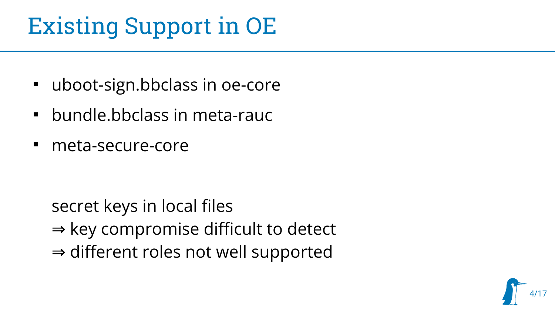# Existing Support in OE

- uboot-sign.bbclass in oe-core
- bundle.bbclass in meta-rauc
- meta-secure-core

secret keys in local files ⇒ key compromise difficult to detect ⇒ different roles not well supported

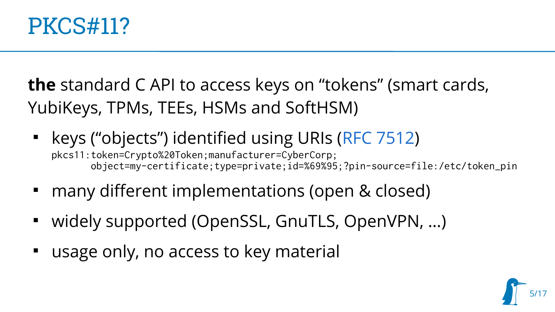

**the** standard C API to access keys on "tokens" (smart cards, YubiKeys, TPMs, TEEs, HSMs and SoftHSM)

- keys ("objects") identified using URIs ([RFC 7512](https://tools.ietf.org/html/rfc7512)) pkcs11:token=Crypto%20Token;manufacturer=CyberCorp; object=my-certificate;type=private;id=%69%95;?pin-source=file:/etc/token\_pin
- many different implementations (open & closed)
- widely supported (OpenSSL, GnuTLS, OpenVPN, …)
- usage only, no access to key material

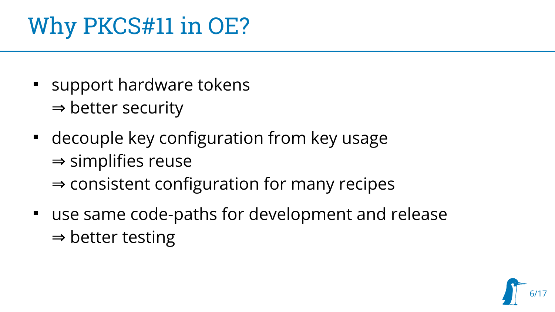# Why PKCS#11 in OE?

- **Support hardware tokens** ⇒ better security
- decouple key configuration from key usage ⇒ simplifies reuse ⇒ consistent configuration for many recipes
- use same code-paths for development and release ⇒ better testing

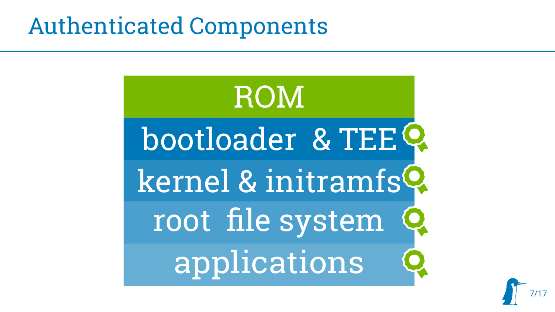#### Authenticated Components



7/17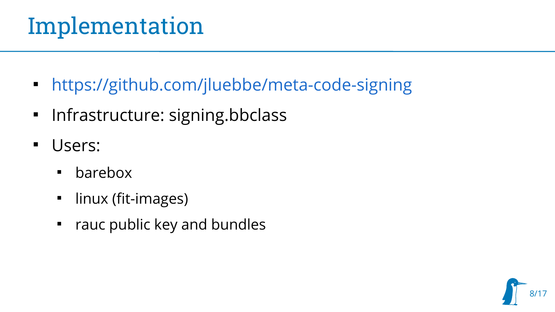#### Implementation

- <https://github.com/jluebbe/meta-code-signing>
- Infrastructure: signing.bbclass
- Users:
	- barebox
	- $\blacksquare$ linux (fit-images)
	- rauc public key and bundles

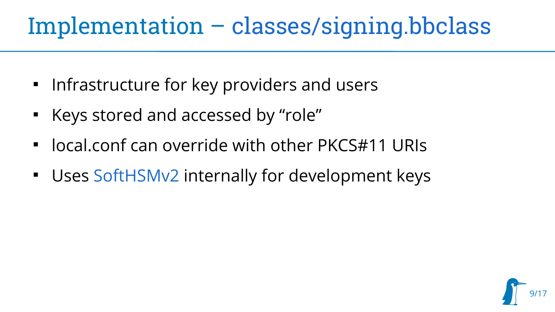#### Implementation – [classes/signing.bbclass](https://github.com/jluebbe/meta-code-signing/blob/master/classes/signing.bbclass)

- $\textcolor{red}{\bullet}$  Infrastructure for key providers and users
- Keys stored and accessed by "role"
- $\blacksquare$ local.conf can override with other PKCS#11 URIs
- Uses [SoftHSMv2](https://github.com/opendnssec/SoftHSMv2) internally for development keys

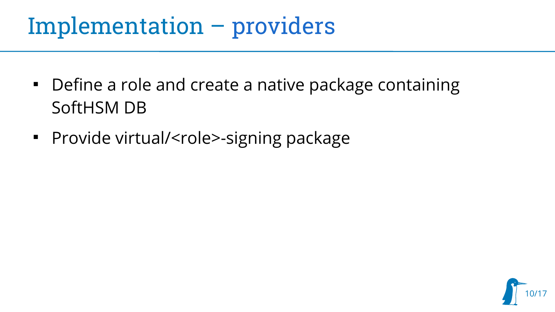#### Implementation – [providers](https://github.com/jluebbe/meta-code-signing/blob/master/recipes-tools/ptx-dev-keys/ptx-dev-keys-native_git.bb)

- Define a role and create a native package containing SoftHSM DB
- Provide virtual/<role>-signing package

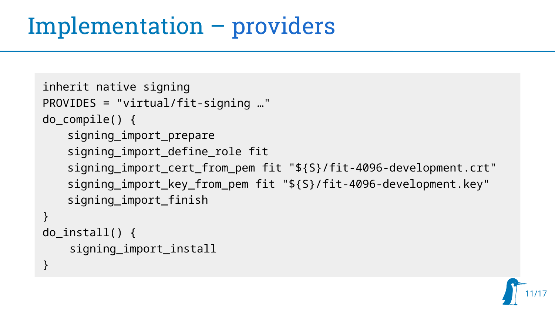```
inherit native signing
PROVIDES = "virtual/fit-signing …"
do_compile() {
   signing_import_prepare
   signing import define role fit
   signing_import_cert_from_pem fit "${S}/fit-4096-development.crt"
   signing_import_key_from_pem fit "${S}/fit-4096-development.key"
   signing_import_finish
}
do install() \{ signing_import_install
}
```
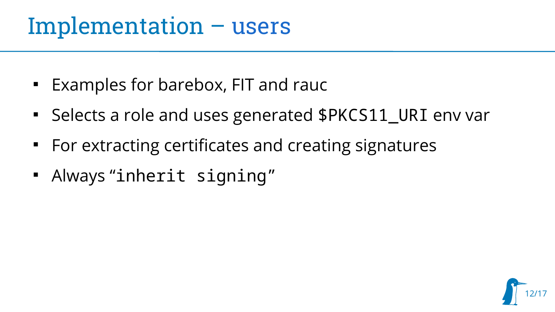#### Implementation – [users](https://github.com/jluebbe/meta-code-signing/tree/master/recipes-signing)

- **Examples for barebox, FIT and raucly**
- Selects a role and uses generated \$PKCS11\_URI env var
- For extracting certificates and creating signatures
- Always "inherit signing"

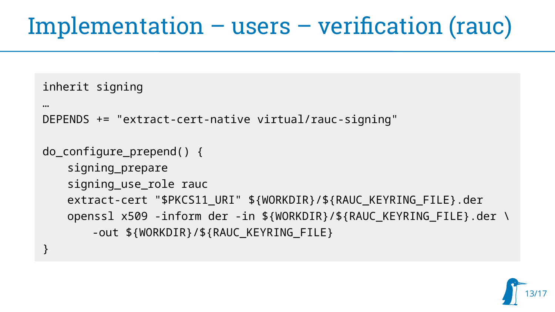#### Implementation – users – verification (rauc)

```
inherit signing
```

```
…
DEPENDS += "extract-cert-native virtual/rauc-signing"
```

```
do_configure_prepend() {
   signing_prepare
   signing_use_role rauc
   extract-cert "$PKCS11_URI" ${WORKDIR}/${RAUC_KEYRING_FILE}.der
   openssl x509 -inform der -in ${WORKDIR}/${RAUC_KEYRING_FILE}.der \
       -out ${WORKDIR}/${RAUC_KEYRING_FILE}
}
```
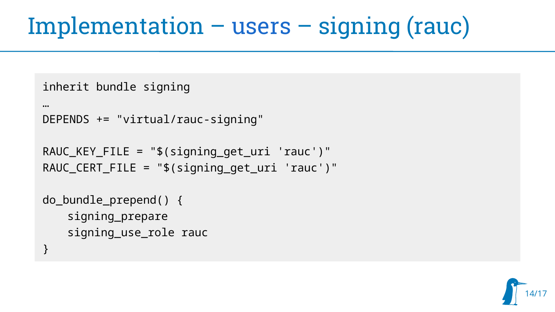# Implementation – [users](https://github.com/jluebbe/meta-code-signing/tree/master/recipes-signing) – signing (rauc)

```
inherit bundle signing
```
…

```
DEPENDS += "virtual/rauc-signing"
```

```
RAUC KEY FILE = \sqrt[16]{s} signing get uri 'rauc')"
RAUC_CERT_FILE = "$(signing_get_uri 'rauc')"
```

```
do_bundle_prepend() {
   signing_prepare
   signing_use_role rauc
}
```
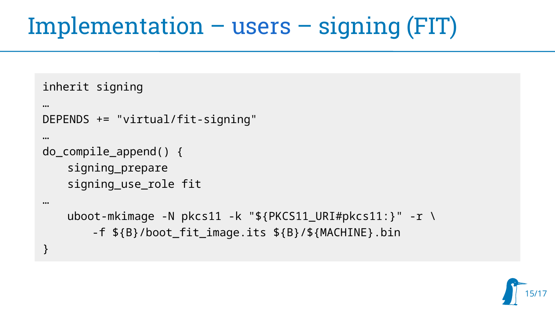# Implementation – [users](https://github.com/jluebbe/meta-code-signing/tree/master/recipes-signing) – signing (FIT)

```
inherit signing
```
…

}

```
…
DEPENDS += "virtual/fit-signing"
…
do compile append() \{signing_prepare
   signing_use_role fit
```

```
uboot-mkimage -N pkcs11 -k "${PKCS11_URI#pkcs11:}" -r \
   -f ${B}/boot_fit_image.its ${B}/${MACHINE}.bin
```
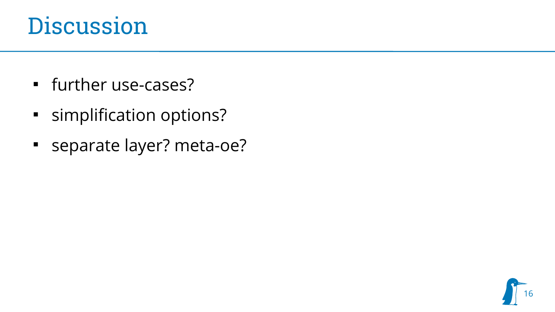#### Discussion

- further use-cases?
- **Examplification options?**
- separate layer? meta-oe?